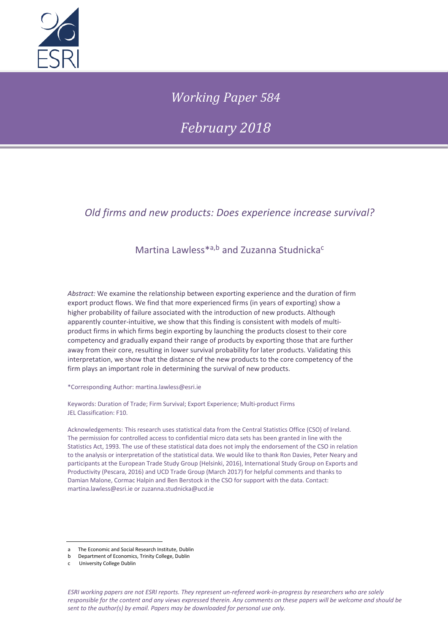

# *Working Paper 584*

*February 2018*

## *Old firms and new products: Does experience increase survival?*

## Martina Lawless<sup>\*a,b</sup> and Zuzanna Studnicka<sup>c</sup>

*Abstract:* We examine the relationship between exporting experience and the duration of firm export product flows. We find that more experienced firms (in years of exporting) show a higher probability of failure associated with the introduction of new products. Although apparently counter-intuitive, we show that this finding is consistent with models of multiproduct firms in which firms begin exporting by launching the products closest to their core competency and gradually expand their range of products by exporting those that are further away from their core, resulting in lower survival probability for later products. Validating this interpretation, we show that the distance of the new products to the core competency of the firm plays an important role in determining the survival of new products.

\*Corresponding Author: martina.lawless@esri.ie

Keywords: Duration of Trade; Firm Survival; Export Experience; Multi-product Firms JEL Classification: F10.

Acknowledgements: This research uses statistical data from the Central Statistics Office (CSO) of Ireland. The permission for controlled access to confidential micro data sets has been granted in line with the Statistics Act, 1993. The use of these statistical data does not imply the endorsement of the CSO in relation to the analysis or interpretation of the statistical data. We would like to thank Ron Davies, Peter Neary and participants at the European Trade Study Group (Helsinki, 2016), International Study Group on Exports and Productivity (Pescara, 2016) and UCD Trade Group (March 2017) for helpful comments and thanks to Damian Malone, Cormac Halpin and Ben Berstock in the CSO for support with the data. Contact: martina.lawless@esri.ie or zuzanna.studnicka@ucd.ie

a The Economic and Social Research Institute, Dublin

b Department of Economics, Trinity College, Dublin

c University College Dublin

*ESRI working papers are not ESRI reports. They represent un-refereed work-in-progress by researchers who are solely responsible for the content and any views expressed therein. Any comments on these papers will be welcome and should be sent to the author(s) by email. Papers may be downloaded for personal use only.*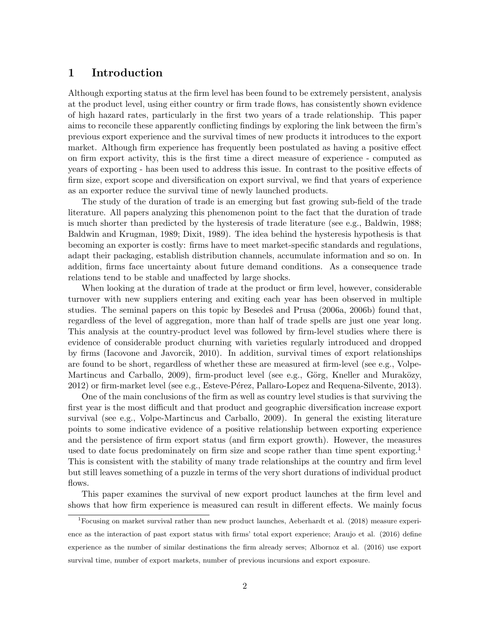### 1 Introduction

Although exporting status at the firm level has been found to be extremely persistent, analysis at the product level, using either country or firm trade flows, has consistently shown evidence of high hazard rates, particularly in the first two years of a trade relationship. This paper aims to reconcile these apparently conflicting findings by exploring the link between the firm's previous export experience and the survival times of new products it introduces to the export market. Although firm experience has frequently been postulated as having a positive effect on firm export activity, this is the first time a direct measure of experience - computed as years of exporting - has been used to address this issue. In contrast to the positive effects of firm size, export scope and diversification on export survival, we find that years of experience as an exporter reduce the survival time of newly launched products.

The study of the duration of trade is an emerging but fast growing sub-field of the trade literature. All papers analyzing this phenomenon point to the fact that the duration of trade is much shorter than predicted by the hysteresis of trade literature (see e.g., Baldwin, 1988; Baldwin and Krugman, 1989; Dixit, 1989). The idea behind the hysteresis hypothesis is that becoming an exporter is costly: firms have to meet market-specific standards and regulations, adapt their packaging, establish distribution channels, accumulate information and so on. In addition, firms face uncertainty about future demand conditions. As a consequence trade relations tend to be stable and unaffected by large shocks.

When looking at the duration of trade at the product or firm level, however, considerable turnover with new suppliers entering and exiting each year has been observed in multiple studies. The seminal papers on this topic by Besedes and Prusa  $(2006a, 2006b)$  found that, regardless of the level of aggregation, more than half of trade spells are just one year long. This analysis at the country-product level was followed by firm-level studies where there is evidence of considerable product churning with varieties regularly introduced and dropped by firms (Iacovone and Javorcik, 2010). In addition, survival times of export relationships are found to be short, regardless of whether these are measured at firm-level (see e.g., Volpe-Martincus and Carballo, 2009), firm-product level (see e.g., Görg, Kneller and Muraközy, 2012) or firm-market level (see e.g., Esteve-Pérez, Pallaro-Lopez and Requena-Silvente, 2013).

One of the main conclusions of the firm as well as country level studies is that surviving the first year is the most difficult and that product and geographic diversification increase export survival (see e.g., Volpe-Martincus and Carballo, 2009). In general the existing literature points to some indicative evidence of a positive relationship between exporting experience and the persistence of firm export status (and firm export growth). However, the measures used to date focus predominately on firm size and scope rather than time spent exporting.<sup>1</sup> This is consistent with the stability of many trade relationships at the country and firm level but still leaves something of a puzzle in terms of the very short durations of individual product flows.

This paper examines the survival of new export product launches at the firm level and shows that how firm experience is measured can result in different effects. We mainly focus

<sup>1</sup>Focusing on market survival rather than new product launches, Aeberhardt et al. (2018) measure experience as the interaction of past export status with firms' total export experience; Araujo et al. (2016) define experience as the number of similar destinations the firm already serves; Albornoz et al. (2016) use export survival time, number of export markets, number of previous incursions and export exposure.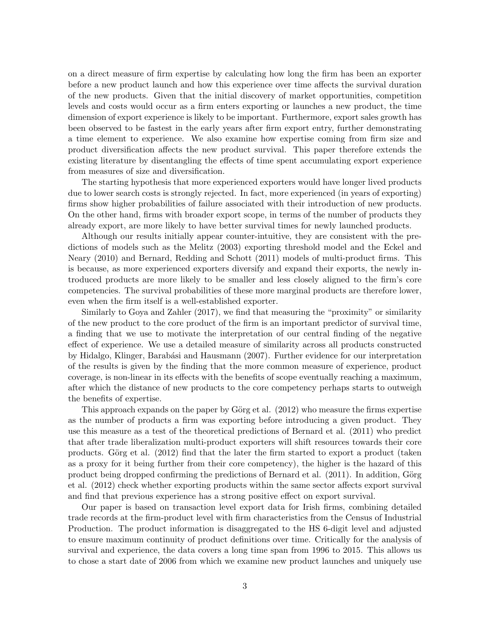on a direct measure of firm expertise by calculating how long the firm has been an exporter before a new product launch and how this experience over time affects the survival duration of the new products. Given that the initial discovery of market opportunities, competition levels and costs would occur as a firm enters exporting or launches a new product, the time dimension of export experience is likely to be important. Furthermore, export sales growth has been observed to be fastest in the early years after firm export entry, further demonstrating a time element to experience. We also examine how expertise coming from firm size and product diversification affects the new product survival. This paper therefore extends the existing literature by disentangling the effects of time spent accumulating export experience from measures of size and diversification.

The starting hypothesis that more experienced exporters would have longer lived products due to lower search costs is strongly rejected. In fact, more experienced (in years of exporting) firms show higher probabilities of failure associated with their introduction of new products. On the other hand, firms with broader export scope, in terms of the number of products they already export, are more likely to have better survival times for newly launched products.

Although our results initially appear counter-intuitive, they are consistent with the predictions of models such as the Melitz (2003) exporting threshold model and the Eckel and Neary (2010) and Bernard, Redding and Schott (2011) models of multi-product firms. This is because, as more experienced exporters diversify and expand their exports, the newly introduced products are more likely to be smaller and less closely aligned to the firm's core competencies. The survival probabilities of these more marginal products are therefore lower, even when the firm itself is a well-established exporter.

Similarly to Goya and Zahler (2017), we find that measuring the "proximity" or similarity of the new product to the core product of the firm is an important predictor of survival time, a finding that we use to motivate the interpretation of our central finding of the negative effect of experience. We use a detailed measure of similarity across all products constructed by Hidalgo, Klinger, Barabási and Hausmann (2007). Further evidence for our interpretation of the results is given by the finding that the more common measure of experience, product coverage, is non-linear in its effects with the benefits of scope eventually reaching a maximum, after which the distance of new products to the core competency perhaps starts to outweigh the benefits of expertise.

This approach expands on the paper by Görg et al.  $(2012)$  who measure the firms expertise as the number of products a firm was exporting before introducing a given product. They use this measure as a test of the theoretical predictions of Bernard et al. (2011) who predict that after trade liberalization multi-product exporters will shift resources towards their core products. Görg et al.  $(2012)$  find that the later the firm started to export a product (taken as a proxy for it being further from their core competency), the higher is the hazard of this product being dropped confirming the predictions of Bernard et al.  $(2011)$ . In addition, Görg et al. (2012) check whether exporting products within the same sector affects export survival and find that previous experience has a strong positive effect on export survival.

Our paper is based on transaction level export data for Irish firms, combining detailed trade records at the firm-product level with firm characteristics from the Census of Industrial Production. The product information is disaggregated to the HS 6-digit level and adjusted to ensure maximum continuity of product definitions over time. Critically for the analysis of survival and experience, the data covers a long time span from 1996 to 2015. This allows us to chose a start date of 2006 from which we examine new product launches and uniquely use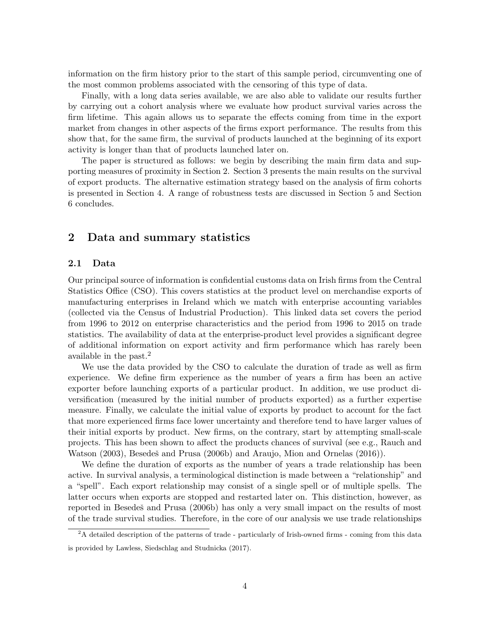information on the firm history prior to the start of this sample period, circumventing one of the most common problems associated with the censoring of this type of data.

Finally, with a long data series available, we are also able to validate our results further by carrying out a cohort analysis where we evaluate how product survival varies across the firm lifetime. This again allows us to separate the effects coming from time in the export market from changes in other aspects of the firms export performance. The results from this show that, for the same firm, the survival of products launched at the beginning of its export activity is longer than that of products launched later on.

The paper is structured as follows: we begin by describing the main firm data and supporting measures of proximity in Section 2. Section 3 presents the main results on the survival of export products. The alternative estimation strategy based on the analysis of firm cohorts is presented in Section 4. A range of robustness tests are discussed in Section 5 and Section 6 concludes.

## 2 Data and summary statistics

#### 2.1 Data

Our principal source of information is confidential customs data on Irish firms from the Central Statistics Office (CSO). This covers statistics at the product level on merchandise exports of manufacturing enterprises in Ireland which we match with enterprise accounting variables (collected via the Census of Industrial Production). This linked data set covers the period from 1996 to 2012 on enterprise characteristics and the period from 1996 to 2015 on trade statistics. The availability of data at the enterprise-product level provides a significant degree of additional information on export activity and firm performance which has rarely been available in the past.<sup>2</sup>

We use the data provided by the CSO to calculate the duration of trade as well as firm experience. We define firm experience as the number of years a firm has been an active exporter before launching exports of a particular product. In addition, we use product diversification (measured by the initial number of products exported) as a further expertise measure. Finally, we calculate the initial value of exports by product to account for the fact that more experienced firms face lower uncertainty and therefore tend to have larger values of their initial exports by product. New firms, on the contrary, start by attempting small-scale projects. This has been shown to affect the products chances of survival (see e.g., Rauch and Watson (2003), Besedesĭ and Prusa (2006b) and Araujo, Mion and Ornelas (2016)).

We define the duration of exports as the number of years a trade relationship has been active. In survival analysis, a terminological distinction is made between a "relationship" and a "spell". Each export relationship may consist of a single spell or of multiple spells. The latter occurs when exports are stopped and restarted later on. This distinction, however, as reported in Besedes and Prusa (2006b) has only a very small impact on the results of most of the trade survival studies. Therefore, in the core of our analysis we use trade relationships

<sup>&</sup>lt;sup>2</sup>A detailed description of the patterns of trade - particularly of Irish-owned firms - coming from this data is provided by Lawless, Siedschlag and Studnicka (2017).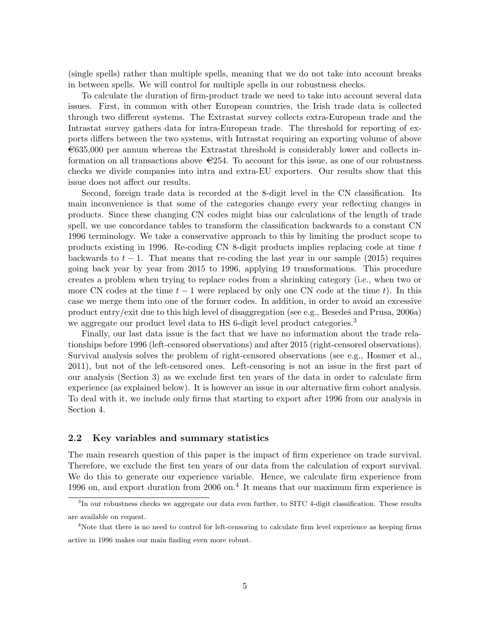(single spells) rather than multiple spells, meaning that we do not take into account breaks in between spells. We will control for multiple spells in our robustness checks.

To calculate the duration of firm-product trade we need to take into account several data issues. First, in common with other European countries, the Irish trade data is collected through two different systems. The Extrastat survey collects extra-European trade and the Intrastat survey gathers data for intra-European trade. The threshold for reporting of exports differs between the two systems, with Intrastat requiring an exporting volume of above  $\epsilon$ 635,000 per annum whereas the Extrastat threshold is considerably lower and collects information on all transactions above  $\in 254$ . To account for this issue, as one of our robustness checks we divide companies into intra and extra-EU exporters. Our results show that this issue does not affect our results.

Second, foreign trade data is recorded at the 8-digit level in the CN classification. Its main inconvenience is that some of the categories change every year reflecting changes in products. Since these changing CN codes might bias our calculations of the length of trade spell, we use concordance tables to transform the classification backwards to a constant CN 1996 terminology. We take a conservative approach to this by limiting the product scope to products existing in 1996. Re-coding CN 8-digit products implies replacing code at time t backwards to  $t - 1$ . That means that re-coding the last year in our sample (2015) requires going back year by year from 2015 to 1996, applying 19 transformations. This procedure creates a problem when trying to replace codes from a shrinking category (i.e., when two or more CN codes at the time  $t - 1$  were replaced by only one CN code at the time t). In this case we merge them into one of the former codes. In addition, in order to avoid an excessive product entry/exit due to this high level of disaggregation (see e.g., Besedes̆ and Prusa, 2006a) we aggregate our product level data to HS 6-digit level product categories.<sup>3</sup>

Finally, our last data issue is the fact that we have no information about the trade relationships before 1996 (left-censored observations) and after 2015 (right-censored observations). Survival analysis solves the problem of right-censored observations (see e.g., Hosmer et al., 2011), but not of the left-censored ones. Left-censoring is not an issue in the first part of our analysis (Section 3) as we exclude first ten years of the data in order to calculate firm experience (as explained below). It is however an issue in our alternative firm cohort analysis. To deal with it, we include only firms that starting to export after 1996 from our analysis in Section 4.

#### 2.2 Key variables and summary statistics

The main research question of this paper is the impact of firm experience on trade survival. Therefore, we exclude the first ten years of our data from the calculation of export survival. We do this to generate our experience variable. Hence, we calculate firm experience from 1996 on, and export duration from 2006 on.<sup>4</sup> It means that our maximum firm experience is

<sup>&</sup>lt;sup>3</sup>In our robustness checks we aggregate our data even further, to SITC 4-digit classification. These results are available on request.

<sup>&</sup>lt;sup>4</sup>Note that there is no need to control for left-censoring to calculate firm level experience as keeping firms active in 1996 makes our main finding even more robust.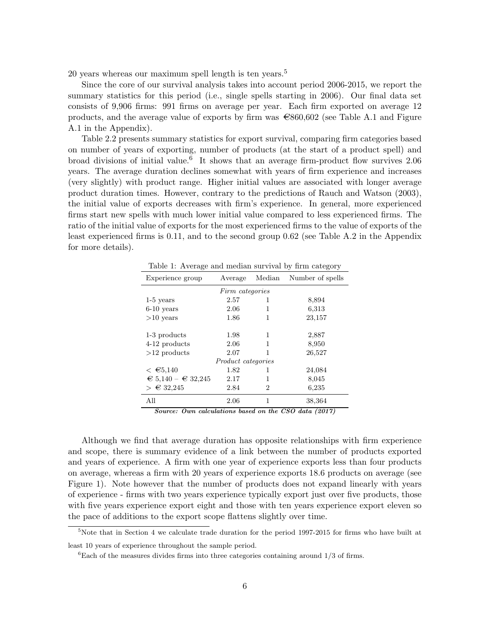20 years whereas our maximum spell length is ten years.<sup>5</sup>

Since the core of our survival analysis takes into account period 2006-2015, we report the summary statistics for this period (i.e., single spells starting in 2006). Our final data set consists of 9,906 firms: 991 firms on average per year. Each firm exported on average 12 products, and the average value of exports by firm was  $\epsilon$ 860,602 (see Table A.1 and Figure A.1 in the Appendix).

Table 2.2 presents summary statistics for export survival, comparing firm categories based on number of years of exporting, number of products (at the start of a product spell) and broad divisions of initial value.<sup>6</sup> It shows that an average firm-product flow survives 2.06 years. The average duration declines somewhat with years of firm experience and increases (very slightly) with product range. Higher initial values are associated with longer average product duration times. However, contrary to the predictions of Rauch and Watson (2003), the initial value of exports decreases with firm's experience. In general, more experienced firms start new spells with much lower initial value compared to less experienced firms. The ratio of the initial value of exports for the most experienced firms to the value of exports of the least experienced firms is 0.11, and to the second group 0.62 (see Table A.2 in the Appendix for more details).

Table 1: Average and median survival by firm category

| Experience group                     | Average                   | Median | Number of spells |
|--------------------------------------|---------------------------|--------|------------------|
|                                      | Firm categories           |        |                  |
| $1-5$ years                          | 2.57                      | 1      | 8,894            |
| $6-10$ years                         | 2.06                      | 1      | 6,313            |
| $>10$ years                          | 1.86                      | 1      | 23,157           |
| 1-3 products                         | 1.98                      | 1      | 2,887            |
| 4-12 products                        | 2.06                      | 1      | 8,950            |
| $>12$ products                       | 2.07                      | 1      | 26,527           |
|                                      | <i>Product categories</i> |        |                  |
| $\leq \epsilon$ 5,140                | 1.82                      | 1      | 24,084           |
| $\epsilon$ 5,140 – $\epsilon$ 32,245 | 2.17                      | 1      | 8,045            |
| > €32,245                            | 2.84                      | 2      | 6,235            |
| All                                  | 2.06                      | 1      | 38,364           |

Source: Own calculations based on the CSO data (2017)

Although we find that average duration has opposite relationships with firm experience and scope, there is summary evidence of a link between the number of products exported and years of experience. A firm with one year of experience exports less than four products on average, whereas a firm with 20 years of experience exports 18.6 products on average (see Figure 1). Note however that the number of products does not expand linearly with years of experience - firms with two years experience typically export just over five products, those with five years experience export eight and those with ten years experience export eleven so the pace of additions to the export scope flattens slightly over time.

 $5$ Note that in Section 4 we calculate trade duration for the period 1997-2015 for firms who have built at least 10 years of experience throughout the sample period.

 ${}^{6}$ Each of the measures divides firms into three categories containing around 1/3 of firms.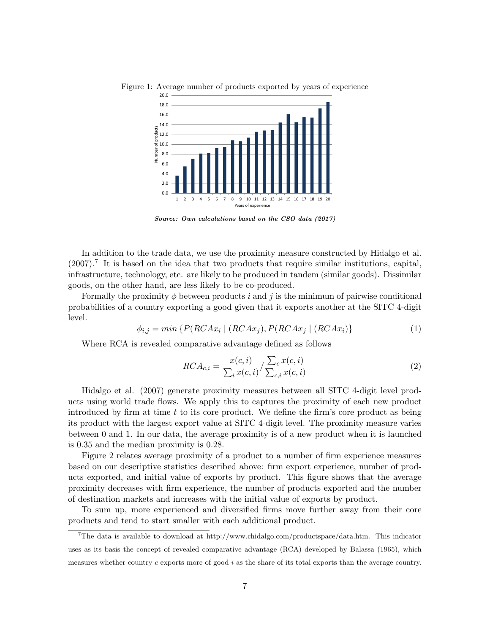

Figure 1: Average number of products exported by years of experience

Source: Own calculations based on the CSO data (2017)

In addition to the trade data, we use the proximity measure constructed by Hidalgo et al.  $(2007).$ <sup>7</sup> It is based on the idea that two products that require similar institutions, capital, infrastructure, technology, etc. are likely to be produced in tandem (similar goods). Dissimilar goods, on the other hand, are less likely to be co-produced.

Formally the proximity  $\phi$  between products i and j is the minimum of pairwise conditional probabilities of a country exporting a good given that it exports another at the SITC 4-digit level.

$$
\phi_{i,j} = \min\left\{P(RCAx_i \mid (RCAx_j), P(RCAx_j \mid (RCAx_i))\right\}\tag{1}
$$

Where RCA is revealed comparative advantage defined as follows

$$
RCA_{c,i} = \frac{x(c,i)}{\sum_{i} x(c,i)} / \frac{\sum_{c} x(c,i)}{\sum_{c,i} x(c,i)}
$$
\n
$$
(2)
$$

Hidalgo et al. (2007) generate proximity measures between all SITC 4-digit level products using world trade flows. We apply this to captures the proximity of each new product introduced by firm at time  $t$  to its core product. We define the firm's core product as being its product with the largest export value at SITC 4-digit level. The proximity measure varies between 0 and 1. In our data, the average proximity is of a new product when it is launched is 0.35 and the median proximity is 0.28.

Figure 2 relates average proximity of a product to a number of firm experience measures based on our descriptive statistics described above: firm export experience, number of products exported, and initial value of exports by product. This figure shows that the average proximity decreases with firm experience, the number of products exported and the number of destination markets and increases with the initial value of exports by product.

To sum up, more experienced and diversified firms move further away from their core products and tend to start smaller with each additional product.

<sup>&</sup>lt;sup>7</sup>The data is available to download at http://www.chidalgo.com/productspace/data.htm. This indicator uses as its basis the concept of revealed comparative advantage (RCA) developed by Balassa (1965), which measures whether country  $c$  exports more of good  $i$  as the share of its total exports than the average country.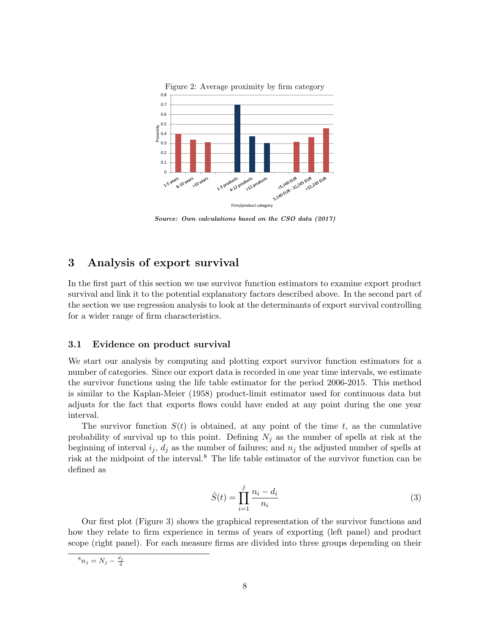

Figure 2: Average proximity by firm category

Source: Own calculations based on the CSO data (2017)

## 3 Analysis of export survival

In the first part of this section we use survivor function estimators to examine export product survival and link it to the potential explanatory factors described above. In the second part of the section we use regression analysis to look at the determinants of export survival controlling for a wider range of firm characteristics.

#### 3.1 Evidence on product survival

We start our analysis by computing and plotting export survivor function estimators for a number of categories. Since our export data is recorded in one year time intervals, we estimate the survivor functions using the life table estimator for the period 2006-2015. This method is similar to the Kaplan-Meier (1958) product-limit estimator used for continuous data but adjusts for the fact that exports flows could have ended at any point during the one year interval.

The survivor function  $S(t)$  is obtained, at any point of the time t, as the cumulative probability of survival up to this point. Defining  $N_j$  as the number of spells at risk at the beginning of interval  $i_j$ ,  $d_j$  as the number of failures; and  $n_j$  the adjusted number of spells at risk at the midpoint of the interval.<sup>8</sup> The life table estimator of the survivor function can be defined as

$$
\hat{S}(t) = \prod_{i=1}^{j} \frac{n_i - d_i}{n_i}
$$
\n(3)

Our first plot (Figure 3) shows the graphical representation of the survivor functions and how they relate to firm experience in terms of years of exporting (left panel) and product scope (right panel). For each measure firms are divided into three groups depending on their

 ${}^8n_j = N_j - \frac{d_j}{2}$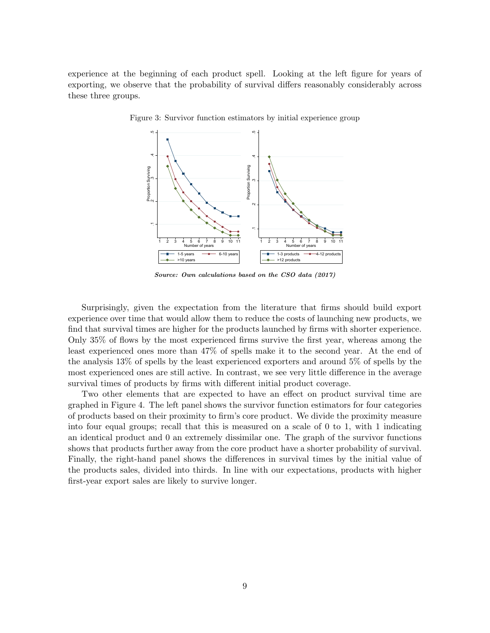experience at the beginning of each product spell. Looking at the left figure for years of exporting, we observe that the probability of survival differs reasonably considerably across these three groups.



Figure 3: Survivor function estimators by initial experience group

Source: Own calculations based on the CSO data (2017)

Surprisingly, given the expectation from the literature that firms should build export experience over time that would allow them to reduce the costs of launching new products, we find that survival times are higher for the products launched by firms with shorter experience. Only 35% of flows by the most experienced firms survive the first year, whereas among the least experienced ones more than 47% of spells make it to the second year. At the end of the analysis 13% of spells by the least experienced exporters and around 5% of spells by the most experienced ones are still active. In contrast, we see very little difference in the average survival times of products by firms with different initial product coverage.

Two other elements that are expected to have an effect on product survival time are graphed in Figure 4. The left panel shows the survivor function estimators for four categories of products based on their proximity to firm's core product. We divide the proximity measure into four equal groups; recall that this is measured on a scale of 0 to 1, with 1 indicating an identical product and 0 an extremely dissimilar one. The graph of the survivor functions shows that products further away from the core product have a shorter probability of survival. Finally, the right-hand panel shows the differences in survival times by the initial value of the products sales, divided into thirds. In line with our expectations, products with higher first-year export sales are likely to survive longer.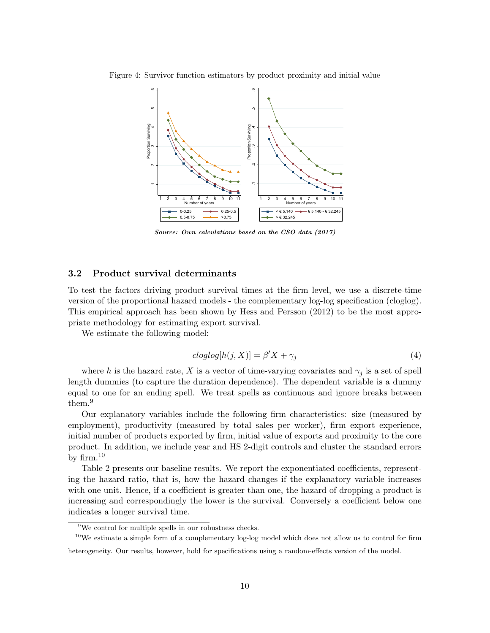Figure 4: Survivor function estimators by product proximity and initial value



Source: Own calculations based on the CSO data (2017)

#### 3.2 Product survival determinants

To test the factors driving product survival times at the firm level, we use a discrete-time version of the proportional hazard models - the complementary log-log specification (cloglog). This empirical approach has been shown by Hess and Persson (2012) to be the most appropriate methodology for estimating export survival.

We estimate the following model:

$$
cloglog[h(j, X)] = \beta'X + \gamma_j \tag{4}
$$

where h is the hazard rate, X is a vector of time-varying covariates and  $\gamma_i$  is a set of spell length dummies (to capture the duration dependence). The dependent variable is a dummy equal to one for an ending spell. We treat spells as continuous and ignore breaks between them.<sup>9</sup>

Our explanatory variables include the following firm characteristics: size (measured by employment), productivity (measured by total sales per worker), firm export experience, initial number of products exported by firm, initial value of exports and proximity to the core product. In addition, we include year and HS 2-digit controls and cluster the standard errors by firm. $10$ 

Table 2 presents our baseline results. We report the exponentiated coefficients, representing the hazard ratio, that is, how the hazard changes if the explanatory variable increases with one unit. Hence, if a coefficient is greater than one, the hazard of dropping a product is increasing and correspondingly the lower is the survival. Conversely a coefficient below one indicates a longer survival time.

<sup>&</sup>lt;sup>9</sup>We control for multiple spells in our robustness checks.

 $10$ We estimate a simple form of a complementary log-log model which does not allow us to control for firm

heterogeneity. Our results, however, hold for specifications using a random-effects version of the model.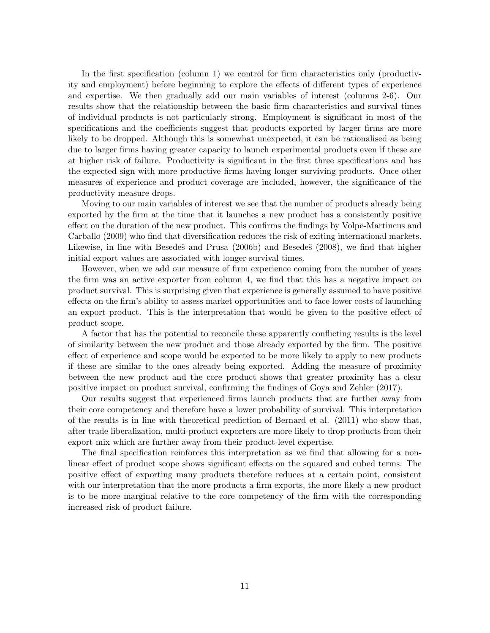In the first specification (column 1) we control for firm characteristics only (productivity and employment) before beginning to explore the effects of different types of experience and expertise. We then gradually add our main variables of interest (columns 2-6). Our results show that the relationship between the basic firm characteristics and survival times of individual products is not particularly strong. Employment is significant in most of the specifications and the coefficients suggest that products exported by larger firms are more likely to be dropped. Although this is somewhat unexpected, it can be rationalised as being due to larger firms having greater capacity to launch experimental products even if these are at higher risk of failure. Productivity is significant in the first three specifications and has the expected sign with more productive firms having longer surviving products. Once other measures of experience and product coverage are included, however, the significance of the productivity measure drops.

Moving to our main variables of interest we see that the number of products already being exported by the firm at the time that it launches a new product has a consistently positive effect on the duration of the new product. This confirms the findings by Volpe-Martincus and Carballo (2009) who find that diversification reduces the risk of exiting international markets. Likewise, in line with Besedeš and Prusa (2006b) and Besedeš (2008), we find that higher initial export values are associated with longer survival times.

However, when we add our measure of firm experience coming from the number of years the firm was an active exporter from column 4, we find that this has a negative impact on product survival. This is surprising given that experience is generally assumed to have positive effects on the firm's ability to assess market opportunities and to face lower costs of launching an export product. This is the interpretation that would be given to the positive effect of product scope.

A factor that has the potential to reconcile these apparently conflicting results is the level of similarity between the new product and those already exported by the firm. The positive effect of experience and scope would be expected to be more likely to apply to new products if these are similar to the ones already being exported. Adding the measure of proximity between the new product and the core product shows that greater proximity has a clear positive impact on product survival, confirming the findings of Goya and Zehler (2017).

Our results suggest that experienced firms launch products that are further away from their core competency and therefore have a lower probability of survival. This interpretation of the results is in line with theoretical prediction of Bernard et al. (2011) who show that, after trade liberalization, multi-product exporters are more likely to drop products from their export mix which are further away from their product-level expertise.

The final specification reinforces this interpretation as we find that allowing for a nonlinear effect of product scope shows significant effects on the squared and cubed terms. The positive effect of exporting many products therefore reduces at a certain point, consistent with our interpretation that the more products a firm exports, the more likely a new product is to be more marginal relative to the core competency of the firm with the corresponding increased risk of product failure.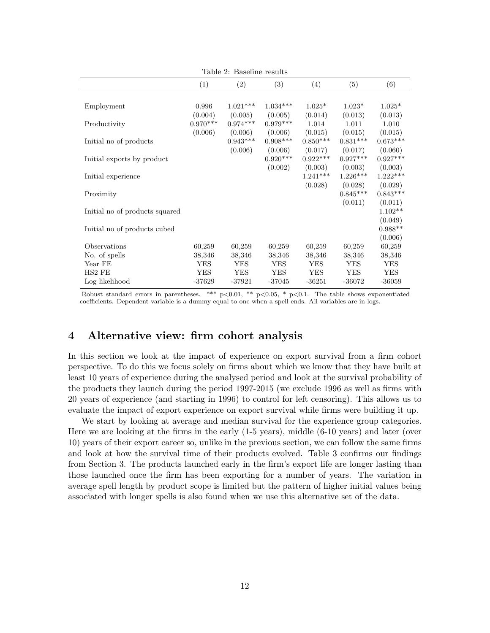|                                |            | таріс 2. дажнік гемпа |            |            |            |                      |
|--------------------------------|------------|-----------------------|------------|------------|------------|----------------------|
|                                | (1)        | (2)                   | (3)        | (4)        | (5)        | (6)                  |
|                                |            |                       |            |            |            |                      |
| Employment                     | 0.996      | $1.021***$            | $1.034***$ | $1.025*$   | $1.023*$   | $1.025*$             |
|                                | (0.004)    | (0.005)               | (0.005)    | (0.014)    | (0.013)    | (0.013)              |
| Productivity                   | $0.970***$ | $0.974***$            | $0.979***$ | 1.014      | 1.011      | 1.010                |
|                                | (0.006)    | (0.006)               | (0.006)    | (0.015)    | (0.015)    | (0.015)              |
| Initial no of products         |            | $0.943***$            | $0.908***$ | $0.850***$ | $0.831***$ | $0.673***$           |
|                                |            | (0.006)               | (0.006)    | (0.017)    | (0.017)    | (0.060)              |
| Initial exports by product     |            |                       | $0.920***$ | $0.922***$ | $0.927***$ | $0.927***$           |
|                                |            |                       | (0.002)    | (0.003)    | (0.003)    | (0.003)              |
| Initial experience             |            |                       |            | $1.241***$ | $1.226***$ | $1.222***$           |
|                                |            |                       |            | (0.028)    | (0.028)    | (0.029)              |
| Proximity                      |            |                       |            |            | $0.845***$ | $0.843***$           |
|                                |            |                       |            |            | (0.011)    | (0.011)<br>$1.102**$ |
| Initial no of products squared |            |                       |            |            |            | (0.049)              |
| Initial no of products cubed   |            |                       |            |            |            | $0.988**$            |
|                                |            |                       |            |            |            | (0.006)              |
| Observations                   | 60,259     | 60,259                | 60,259     | 60,259     | 60,259     | 60,259               |
| No. of spells                  | 38,346     | 38,346                | 38,346     | 38,346     | 38,346     | 38,346               |
| Year FE                        | <b>YES</b> | <b>YES</b>            | <b>YES</b> | <b>YES</b> | <b>YES</b> | <b>YES</b>           |
| HS2 FE                         | <b>YES</b> | <b>YES</b>            | <b>YES</b> | <b>YES</b> | <b>YES</b> | <b>YES</b>           |
| Log likelihood                 | $-37629$   | $-37921$              | $-37045$   | $-36251$   | $-36072$   | $-36059$             |
|                                |            |                       |            |            |            |                      |

Table 2: Baseline results

Robust standard errors in parentheses. \*\*\* p<0.01, \*\* p<0.05, \* p<0.1. The table shows exponentiated coefficients. Dependent variable is a dummy equal to one when a spell ends. All variables are in logs.

## 4 Alternative view: firm cohort analysis

In this section we look at the impact of experience on export survival from a firm cohort perspective. To do this we focus solely on firms about which we know that they have built at least 10 years of experience during the analysed period and look at the survival probability of the products they launch during the period 1997-2015 (we exclude 1996 as well as firms with 20 years of experience (and starting in 1996) to control for left censoring). This allows us to evaluate the impact of export experience on export survival while firms were building it up.

We start by looking at average and median survival for the experience group categories. Here we are looking at the firms in the early (1-5 years), middle (6-10 years) and later (over 10) years of their export career so, unlike in the previous section, we can follow the same firms and look at how the survival time of their products evolved. Table 3 confirms our findings from Section 3. The products launched early in the firm's export life are longer lasting than those launched once the firm has been exporting for a number of years. The variation in average spell length by product scope is limited but the pattern of higher initial values being associated with longer spells is also found when we use this alternative set of the data.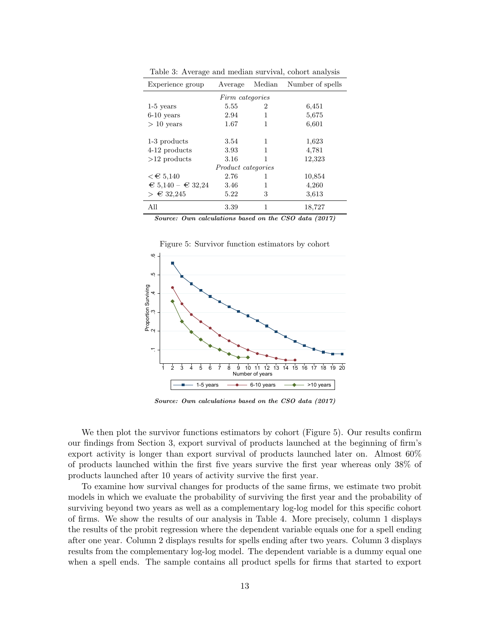| Experience group        | Average                   | Median | Number of spells |
|-------------------------|---------------------------|--------|------------------|
|                         | Firm categories           |        |                  |
| $1-5$ years             | 5.55                      | 2      | 6,451            |
| $6-10$ years            | 2.94                      | 1      | 5,675            |
| $> 10$ years            | 1.67                      | 1      | 6,601            |
|                         |                           |        |                  |
| 1-3 products            | 3.54                      | 1      | 1,623            |
| 4-12 products           | 3.93                      | 1      | 4,781            |
| $>12$ products          | 3.16                      |        | 12,323           |
|                         | <i>Product categories</i> |        |                  |
| $\epsilon \in 5,140$    | 2.76                      | 1      | 10,854           |
| $\in 5,140 - \in 32,24$ | 3.46                      | 1      | 4,260            |
| > €32,245               | 5.22                      | 3      | 3,613            |
| All                     | 3.39                      | 1      | 18,727           |

Table 3: Average and median survival, cohort analysis

Source: Own calculations based on the CSO data (2017)



Figure 5: Survivor function estimators by cohort

Source: Own calculations based on the CSO data (2017)

We then plot the survivor functions estimators by cohort (Figure 5). Our results confirm our findings from Section 3, export survival of products launched at the beginning of firm's export activity is longer than export survival of products launched later on. Almost 60% of products launched within the first five years survive the first year whereas only 38% of products launched after 10 years of activity survive the first year.

To examine how survival changes for products of the same firms, we estimate two probit models in which we evaluate the probability of surviving the first year and the probability of surviving beyond two years as well as a complementary log-log model for this specific cohort of firms. We show the results of our analysis in Table 4. More precisely, column 1 displays the results of the probit regression where the dependent variable equals one for a spell ending after one year. Column 2 displays results for spells ending after two years. Column 3 displays results from the complementary log-log model. The dependent variable is a dummy equal one when a spell ends. The sample contains all product spells for firms that started to export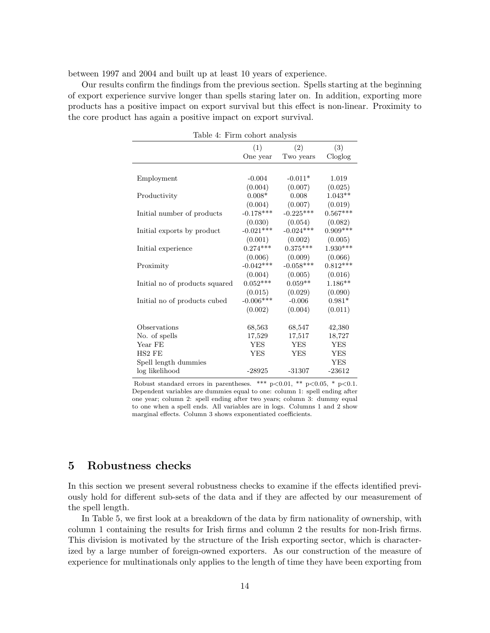between 1997 and 2004 and built up at least 10 years of experience.

Our results confirm the findings from the previous section. Spells starting at the beginning of export experience survive longer than spells staring later on. In addition, exporting more products has a positive impact on export survival but this effect is non-linear. Proximity to the core product has again a positive impact on export survival.

| Table 4: Firm cohort analysis  |             |             |            |  |
|--------------------------------|-------------|-------------|------------|--|
|                                | (1)         | (2)         | (3)        |  |
|                                | One year    | Two years   | Cloglog    |  |
|                                |             |             |            |  |
| Employment                     | $-0.004$    | $-0.011*$   | 1.019      |  |
|                                | (0.004)     | (0.007)     | (0.025)    |  |
| Productivity                   | $0.008*$    | 0.008       | $1.043**$  |  |
|                                | (0.004)     | (0.007)     | (0.019)    |  |
| Initial number of products     | $-0.178***$ | $-0.225***$ | $0.567***$ |  |
|                                | (0.030)     | (0.054)     | (0.082)    |  |
| Initial exports by product     | $-0.021***$ | $-0.024***$ | $0.909***$ |  |
|                                | (0.001)     | (0.002)     | (0.005)    |  |
| Initial experience             | $0.274***$  | $0.375***$  | $1.930***$ |  |
|                                | (0.006)     | (0.009)     | (0.066)    |  |
| Proximity                      | $-0.042***$ | $-0.058***$ | $0.812***$ |  |
|                                | (0.004)     | (0.005)     | (0.016)    |  |
| Initial no of products squared | $0.052***$  | $0.059**$   | $1.186**$  |  |
|                                | (0.015)     | (0.029)     | (0.090)    |  |
| Initial no of products cubed   | $-0.006***$ | $-0.006$    | $0.981*$   |  |
|                                | (0.002)     | (0.004)     | (0.011)    |  |
|                                |             |             |            |  |
| Observations                   | 68,563      | 68,547      | 42,380     |  |
| No. of spells                  | 17,529      | 17,517      | 18,727     |  |
| Year FE                        | <b>YES</b>  | <b>YES</b>  | <b>YES</b> |  |
| HS <sub>2</sub> FE             | <b>YES</b>  | <b>YES</b>  | <b>YES</b> |  |
| Spell length dummies           |             |             | <b>YES</b> |  |
| log likelihood                 | $-28925$    | $-31307$    | $-23612$   |  |

Robust standard errors in parentheses. \*\*\*  $p<0.01$ , \*\*  $p<0.05$ , \*  $p<0.1$ . Dependent variables are dummies equal to one: column 1: spell ending after one year; column 2: spell ending after two years; column 3: dummy equal to one when a spell ends. All variables are in logs. Columns 1 and 2 show marginal effects. Column 3 shows exponentiated coefficients.

## 5 Robustness checks

In this section we present several robustness checks to examine if the effects identified previously hold for different sub-sets of the data and if they are affected by our measurement of the spell length.

In Table 5, we first look at a breakdown of the data by firm nationality of ownership, with column 1 containing the results for Irish firms and column 2 the results for non-Irish firms. This division is motivated by the structure of the Irish exporting sector, which is characterized by a large number of foreign-owned exporters. As our construction of the measure of experience for multinationals only applies to the length of time they have been exporting from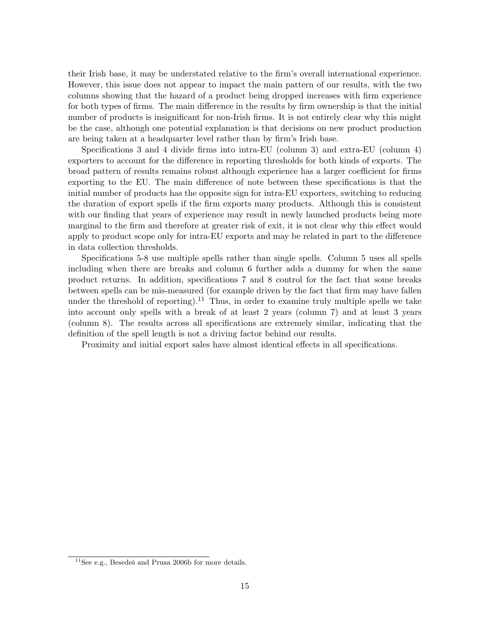their Irish base, it may be understated relative to the firm's overall international experience. However, this issue does not appear to impact the main pattern of our results, with the two columns showing that the hazard of a product being dropped increases with firm experience for both types of firms. The main difference in the results by firm ownership is that the initial number of products is insignificant for non-Irish firms. It is not entirely clear why this might be the case, although one potential explanation is that decisions on new product production are being taken at a headquarter level rather than by firm's Irish base.

Specifications 3 and 4 divide firms into intra-EU (column 3) and extra-EU (column 4) exporters to account for the difference in reporting thresholds for both kinds of exports. The broad pattern of results remains robust although experience has a larger coefficient for firms exporting to the EU. The main difference of note between these specifications is that the initial number of products has the opposite sign for intra-EU exporters, switching to reducing the duration of export spells if the firm exports many products. Although this is consistent with our finding that years of experience may result in newly launched products being more marginal to the firm and therefore at greater risk of exit, it is not clear why this effect would apply to product scope only for intra-EU exports and may be related in part to the difference in data collection thresholds.

Specifications 5-8 use multiple spells rather than single spells. Column 5 uses all spells including when there are breaks and column 6 further adds a dummy for when the same product returns. In addition, specifications 7 and 8 control for the fact that some breaks between spells can be mis-measured (for example driven by the fact that firm may have fallen under the threshold of reporting).<sup>11</sup> Thus, in order to examine truly multiple spells we take into account only spells with a break of at least 2 years (column 7) and at least 3 years (column 8). The results across all specifications are extremely similar, indicating that the definition of the spell length is not a driving factor behind our results.

Proximity and initial export sales have almost identical effects in all specifications.

 $^{11}$  See e.g., Besedeš and Prusa 2006b for more details.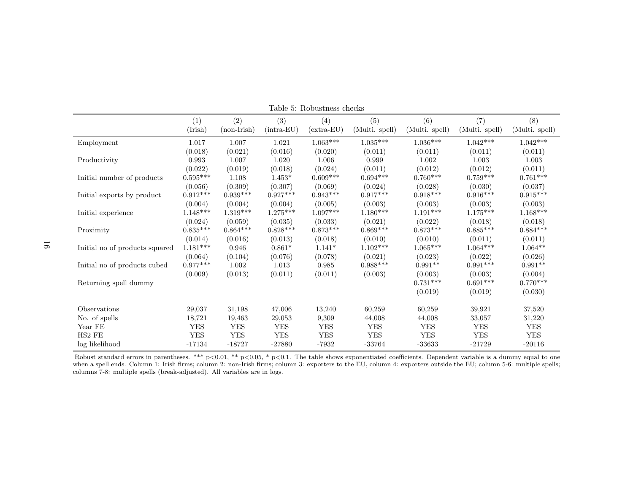|                                | (1)             | (2)           | (3)          | (4)          | (5)             | (6)             | (7)             | (8)            |
|--------------------------------|-----------------|---------------|--------------|--------------|-----------------|-----------------|-----------------|----------------|
|                                | (Irish)         | $(non-Irish)$ | $(intra-EU)$ | $(extra-EU)$ | (Multi. spell)  | (Multi. spell)  | (Multi. spell)  | (Multi. spell) |
| Employment                     | 1.017           | 1.007         | 1.021        | $1.063***$   | $1.035^{***}\,$ | $1.036^{***}\;$ | $1.042***$      | $1.042***$     |
|                                | (0.018)         | (0.021)       | (0.016)      | (0.020)      | (0.011)         | (0.011)         | (0.011)         | (0.011)        |
| Productivity                   | 0.993           | 1.007         | 1.020        | 1.006        | 0.999           | 1.002           | 1.003           | 1.003          |
|                                | (0.022)         | (0.019)       | (0.018)      | (0.024)      | (0.011)         | (0.012)         | (0.012)         | (0.011)        |
| Initial number of products     | $0.595^{***}\,$ | 1.108         | $1.453*$     | $0.609***$   | $0.694***$      | $0.760***$      | $0.759***$      | $0.761***$     |
|                                | (0.056)         | (0.309)       | (0.307)      | (0.069)      | (0.024)         | (0.028)         | (0.030)         | (0.037)        |
| Initial exports by product     | $0.912***$      | $0.939***$    | $0.927***$   | $0.943***$   | $0.917***$      | $0.918***$      | $0.916***$      | $0.915***$     |
|                                | (0.004)         | (0.004)       | (0.004)      | (0.005)      | (0.003)         | (0.003)         | (0.003)         | (0.003)        |
| Initial experience             | $1.148***$      | $1.319***$    | $1.275***$   | $1.097***$   | $1.180***$      | $1.191***$      | $1.175***$      | $1.168***$     |
|                                | (0.024)         | (0.059)       | (0.035)      | (0.033)      | (0.021)         | (0.022)         | (0.018)         | (0.018)        |
| Proximity                      | $0.835***$      | $0.864***$    | $0.828***$   | $0.873***$   | $0.869***$      | $0.873***$      | $0.885***$      | $0.884***$     |
|                                | (0.014)         | (0.016)       | (0.013)      | (0.018)      | (0.010)         | (0.010)         | (0.011)         | (0.011)        |
| Initial no of products squared | $1.181***$      | 0.946         | $0.861*$     | $1.141*$     | $1.102***$      | $1.065^{***}\,$ | $1.064***$      | $1.064**$      |
|                                | (0.064)         | (0.104)       | (0.076)      | (0.078)      | (0.021)         | (0.023)         | (0.022)         | (0.026)        |
| Initial no of products cubed   | $0.977^{***}\;$ | 1.002         | 1.013        | 0.985        | $0.988***$      | $0.991**$       | $0.991^{***}\,$ | $0.991**$      |
|                                | (0.009)         | (0.013)       | (0.011)      | (0.011)      | (0.003)         | (0.003)         | (0.003)         | (0.004)        |
| Returning spell dummy          |                 |               |              |              |                 | $0.731***$      | $0.691***$      | $0.770***$     |
|                                |                 |               |              |              |                 | (0.019)         | (0.019)         | (0.030)        |
| Observations                   | 29,037          | 31,198        | 47,006       | 13,240       | 60,259          | 60,259          | 39,921          | 37,520         |
| No. of spells                  | 18,721          | 19,463        | 29,053       | 9,309        | 44,008          | 44,008          | 33,057          | 31,220         |
| Year FE                        | <b>YES</b>      | <b>YES</b>    | <b>YES</b>   | <b>YES</b>   | <b>YES</b>      | <b>YES</b>      | <b>YES</b>      | <b>YES</b>     |
| HS2 FE                         | ${\rm YES}$     | ${\rm YES}$   | ${\rm YES}$  | <b>YES</b>   | ${\rm YES}$     | <b>YES</b>      | <b>YES</b>      | <b>YES</b>     |
| log likelihood                 | $-17134$        | $-18727$      | $-27880$     | -7932        | $-33764$        | $-33633$        | $-21729$        | $-20116$       |

Table 5: Robustness checks

Robust standard errors in parentheses. \*\*\*  $p<0.01$ , \*\*  $p<0.05$ , \*  $p<0.1$ . The table shows exponentiated coefficients. Dependent variable is a dummy equal to one when <sup>a</sup> spell ends. Column 1: Irish firms; column 2: non-Irish firms; column 3: exporters to the EU, column 4: exporters outside the EU; column 5-6: multiple spells;columns 7-8: multiple spells (break-adjusted). All variables are in logs.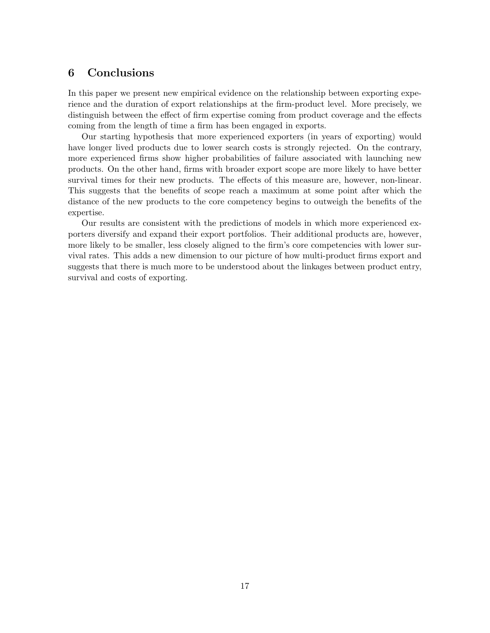## 6 Conclusions

In this paper we present new empirical evidence on the relationship between exporting experience and the duration of export relationships at the firm-product level. More precisely, we distinguish between the effect of firm expertise coming from product coverage and the effects coming from the length of time a firm has been engaged in exports.

Our starting hypothesis that more experienced exporters (in years of exporting) would have longer lived products due to lower search costs is strongly rejected. On the contrary, more experienced firms show higher probabilities of failure associated with launching new products. On the other hand, firms with broader export scope are more likely to have better survival times for their new products. The effects of this measure are, however, non-linear. This suggests that the benefits of scope reach a maximum at some point after which the distance of the new products to the core competency begins to outweigh the benefits of the expertise.

Our results are consistent with the predictions of models in which more experienced exporters diversify and expand their export portfolios. Their additional products are, however, more likely to be smaller, less closely aligned to the firm's core competencies with lower survival rates. This adds a new dimension to our picture of how multi-product firms export and suggests that there is much more to be understood about the linkages between product entry, survival and costs of exporting.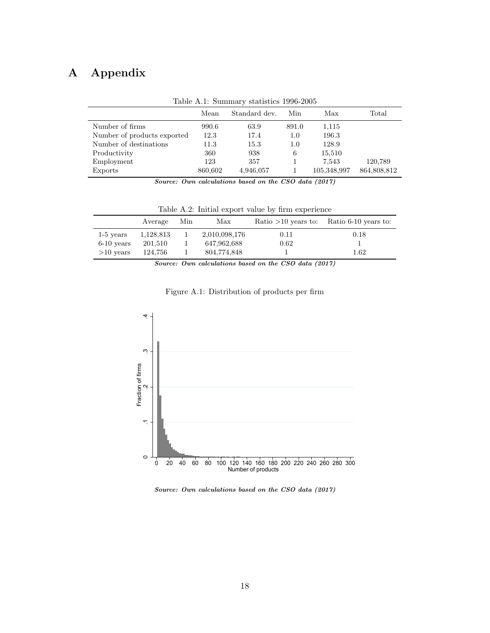# A Appendix

|                             | Mean    | Standard dev. | Min     | Max         | Total       |
|-----------------------------|---------|---------------|---------|-------------|-------------|
| Number of firms             | 990.6   | 63.9          | 891.0   | 1,115       |             |
| Number of products exported | 12.3    | 17.4          | 1.0     | 196.3       |             |
| Number of destinations      | 11.3    | 15.3          | $1.0\,$ | 128.9       |             |
| Productivity                | 360     | 938           | 6       | 15,510      |             |
| Employment                  | 123     | 357           |         | 7,543       | 120,789     |
| Exports                     | 860,602 | 4,946,057     |         | 105,348,997 | 864,808,812 |

Table A.1: Summary statistics 1996-2005

Source: Own calculations based on the CSO data (2017)

|              | Average   | Min | Max           | Ratio $>10$ years to: | Ratio 6-10 years to: |
|--------------|-----------|-----|---------------|-----------------------|----------------------|
| $1-5$ years  | 1,128,813 |     | 2,010,098,176 | 0.11                  | 0.18                 |
| $6-10$ years | 201,510   |     | 647,962,688   | 0.62                  |                      |
| $>10$ years  | 124.756   |     | 804,774,848   |                       | $1.62\,$             |

Table A.2: Initial export value by firm experience

Source: Own calculations based on the CSO data (2017)



Figure A.1: Distribution of products per firm

Source: Own calculations based on the CSO data (2017)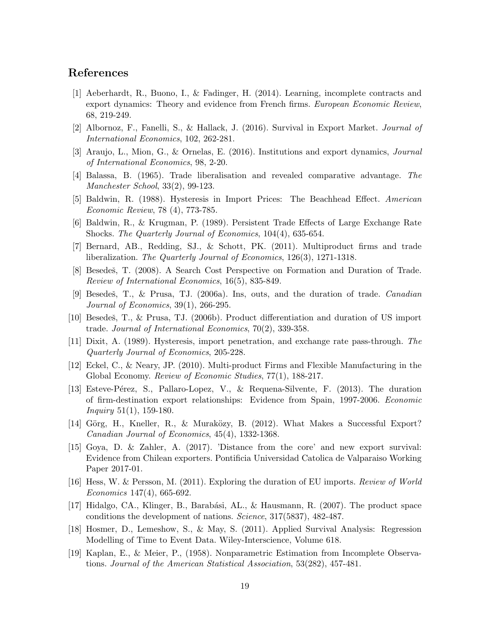### References

- [1] Aeberhardt, R., Buono, I., & Fadinger, H. (2014). Learning, incomplete contracts and export dynamics: Theory and evidence from French firms. European Economic Review, 68, 219-249.
- [2] Albornoz, F., Fanelli, S., & Hallack, J. (2016). Survival in Export Market. Journal of International Economics, 102, 262-281.
- [3] Araujo, L., Mion, G., & Ornelas, E. (2016). Institutions and export dynamics, Journal of International Economics, 98, 2-20.
- [4] Balassa, B. (1965). Trade liberalisation and revealed comparative advantage. The Manchester School, 33(2), 99-123.
- [5] Baldwin, R. (1988). Hysteresis in Import Prices: The Beachhead Effect. American Economic Review, 78 (4), 773-785.
- [6] Baldwin, R., & Krugman, P. (1989). Persistent Trade Effects of Large Exchange Rate Shocks. The Quarterly Journal of Economics, 104(4), 635-654.
- [7] Bernard, AB., Redding, SJ., & Schott, PK. (2011). Multiproduct firms and trade liberalization. The Quarterly Journal of Economics, 126(3), 1271-1318.
- [8] Besedeš, T. (2008). A Search Cost Perspective on Formation and Duration of Trade. Review of International Economics, 16(5), 835-849.
- [9] Besedeš, T., & Prusa, T.J. (2006a). Ins, outs, and the duration of trade. Canadian Journal of Economics, 39(1), 266-295.
- [10] Besedes, T., & Prusa, T.J. (2006b). Product differentiation and duration of US import trade. Journal of International Economics, 70(2), 339-358.
- [11] Dixit, A. (1989). Hysteresis, import penetration, and exchange rate pass-through. The Quarterly Journal of Economics, 205-228.
- [12] Eckel, C., & Neary, JP. (2010). Multi-product Firms and Flexible Manufacturing in the Global Economy. Review of Economic Studies, 77(1), 188-217.
- [13] Esteve-Pérez, S., Pallaro-Lopez, V., & Requena-Silvente, F. (2013). The duration of firm-destination export relationships: Evidence from Spain, 1997-2006. Economic *Inquiry* 51(1), 159-180.
- [14] Görg, H., Kneller, R., & Muraközy, B. (2012). What Makes a Successful Export? Canadian Journal of Economics, 45(4), 1332-1368.
- [15] Goya, D. & Zahler, A. (2017). 'Distance from the core' and new export survival: Evidence from Chilean exporters. Pontificia Universidad Catolica de Valparaiso Working Paper 2017-01.
- [16] Hess, W. & Persson, M. (2011). Exploring the duration of EU imports. Review of World Economics 147(4), 665-692.
- [17] Hidalgo, CA., Klinger, B., Barabási, AL., & Hausmann, R. (2007). The product space conditions the development of nations. Science, 317(5837), 482-487.
- [18] Hosmer, D., Lemeshow, S., & May, S. (2011). Applied Survival Analysis: Regression Modelling of Time to Event Data. Wiley-Interscience, Volume 618.
- [19] Kaplan, E., & Meier, P., (1958). Nonparametric Estimation from Incomplete Observations. Journal of the American Statistical Association, 53(282), 457-481.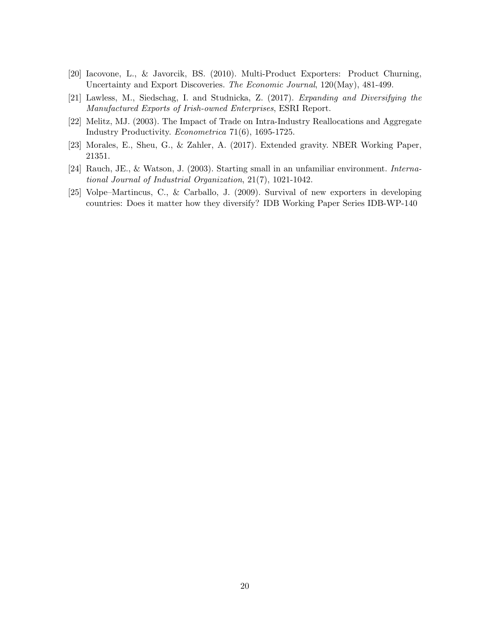- [20] Iacovone, L., & Javorcik, BS. (2010). Multi-Product Exporters: Product Churning, Uncertainty and Export Discoveries. The Economic Journal, 120(May), 481-499.
- [21] Lawless, M., Siedschag, I. and Studnicka, Z. (2017). Expanding and Diversifying the Manufactured Exports of Irish-owned Enterprises, ESRI Report.
- [22] Melitz, MJ. (2003). The Impact of Trade on Intra-Industry Reallocations and Aggregate Industry Productivity. Econometrica 71(6), 1695-1725.
- [23] Morales, E., Sheu, G., & Zahler, A. (2017). Extended gravity. NBER Working Paper, 21351.
- [24] Rauch, JE., & Watson, J. (2003). Starting small in an unfamiliar environment. International Journal of Industrial Organization, 21(7), 1021-1042.
- [25] Volpe–Martincus, C., & Carballo, J. (2009). Survival of new exporters in developing countries: Does it matter how they diversify? IDB Working Paper Series IDB-WP-140